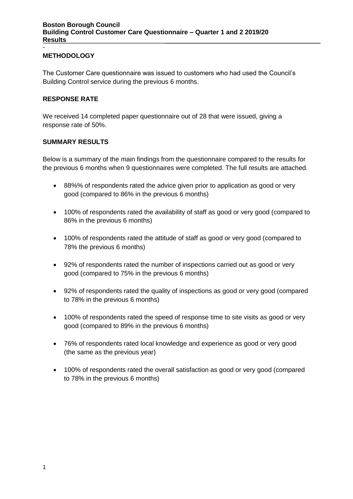#### **METHODOLOGY**

-

The Customer Care questionnaire was issued to customers who had used the Council's Building Control service during the previous 6 months.

#### **RESPONSE RATE**

We received 14 completed paper questionnaire out of 28 that were issued, giving a response rate of 50%.

#### **SUMMARY RESULTS**

Below is a summary of the main findings from the questionnaire compared to the results for the previous 6 months when 9 questionnaires were completed. The full results are attached.

- 88%% of respondents rated the advice given prior to application as good or very good (compared to 86% in the previous 6 months)
- 100% of respondents rated the availability of staff as good or very good (compared to 86% in the previous 6 months)
- 100% of respondents rated the attitude of staff as good or very good (compared to 78% the previous 6 months)
- 92% of respondents rated the number of inspections carried out as good or very good (compared to 75% in the previous 6 months)
- 92% of respondents rated the quality of inspections as good or very good (compared to 78% in the previous 6 months)
- 100% of respondents rated the speed of response time to site visits as good or very good (compared to 89% in the previous 6 months)
- 76% of respondents rated local knowledge and experience as good or very good (the same as the previous year)
- 100% of respondents rated the overall satisfaction as good or very good (compared to 78% in the previous 6 months)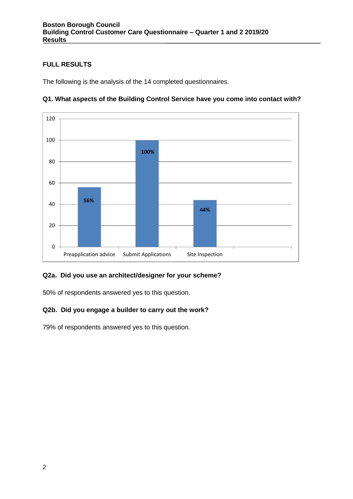## **FULL RESULTS**

The following is the analysis of the 14 completed questionnaires.



# **Q1. What aspects of the Building Control Service have you come into contact with?**

### **Q2a. Did you use an architect/designer for your scheme?**

50% of respondents answered yes to this question.

### **Q2b. Did you engage a builder to carry out the work?**

79% of respondents answered yes to this question.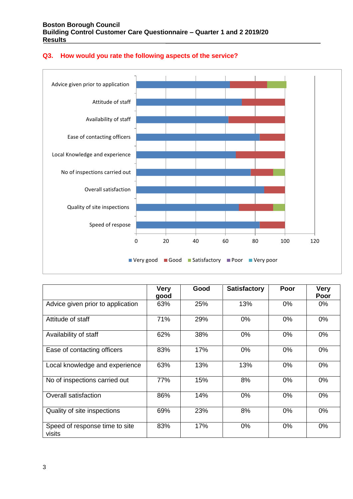

#### **Q3. How would you rate the following aspects of the service?**

|                                          | <b>Very</b><br>good | Good | <b>Satisfactory</b> | Poor  | <b>Very</b><br>Poor |
|------------------------------------------|---------------------|------|---------------------|-------|---------------------|
| Advice given prior to application        | 63%                 | 25%  | 13%                 | 0%    | $0\%$               |
| Attitude of staff                        | 71%                 | 29%  | 0%                  | $0\%$ | $0\%$               |
| Availability of staff                    | 62%                 | 38%  | 0%                  | 0%    | $0\%$               |
| Ease of contacting officers              | 83%                 | 17%  | 0%                  | 0%    | $0\%$               |
| Local knowledge and experience           | 63%                 | 13%  | 13%                 | $0\%$ | 0%                  |
| No of inspections carried out            | 77%                 | 15%  | 8%                  | 0%    | 0%                  |
| <b>Overall satisfaction</b>              | 86%                 | 14%  | 0%                  | 0%    | $0\%$               |
| Quality of site inspections              | 69%                 | 23%  | 8%                  | $0\%$ | $0\%$               |
| Speed of response time to site<br>visits | 83%                 | 17%  | 0%                  | 0%    | 0%                  |